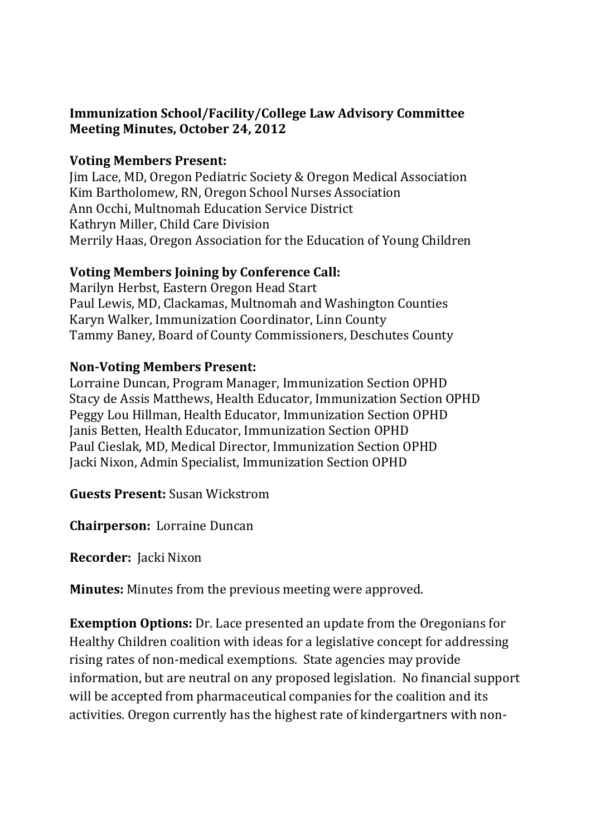## **Immunization School/Facility/College Law Advisory Committee Meeting Minutes, October 24, 2012**

#### **Voting Members Present:**

Jim Lace, MD, Oregon Pediatric Society & Oregon Medical Association Kim Bartholomew, RN, Oregon School Nurses Association Ann Occhi, Multnomah Education Service District Kathryn Miller, Child Care Division Merrily Haas, Oregon Association for the Education of Young Children

## **Voting Members Joining by Conference Call:**

Marilyn Herbst, Eastern Oregon Head Start Paul Lewis, MD, Clackamas, Multnomah and Washington Counties Karyn Walker, Immunization Coordinator, Linn County Tammy Baney, Board of County Commissioners, Deschutes County

## **Non-Voting Members Present:**

Lorraine Duncan, Program Manager, Immunization Section OPHD Stacy de Assis Matthews, Health Educator, Immunization Section OPHD Peggy Lou Hillman, Health Educator, Immunization Section OPHD Janis Betten, Health Educator, Immunization Section OPHD Paul Cieslak, MD, Medical Director, Immunization Section OPHD Jacki Nixon, Admin Specialist, Immunization Section OPHD

**Guests Present:** Susan Wickstrom

**Chairperson:** Lorraine Duncan

**Recorder:** Jacki Nixon

**Minutes:** Minutes from the previous meeting were approved.

**Exemption Options:** Dr. Lace presented an update from the Oregonians for Healthy Children coalition with ideas for a legislative concept for addressing rising rates of non-medical exemptions. State agencies may provide information, but are neutral on any proposed legislation. No financial support will be accepted from pharmaceutical companies for the coalition and its activities. Oregon currently has the highest rate of kindergartners with non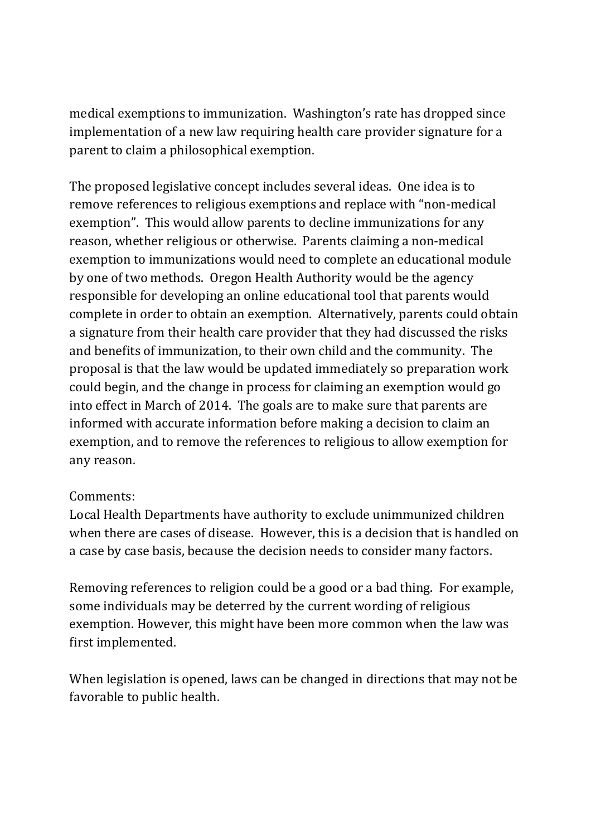medical exemptions to immunization. Washington's rate has dropped since implementation of a new law requiring health care provider signature for a parent to claim a philosophical exemption.

The proposed legislative concept includes several ideas. One idea is to remove references to religious exemptions and replace with "non-medical exemption". This would allow parents to decline immunizations for any reason, whether religious or otherwise. Parents claiming a non-medical exemption to immunizations would need to complete an educational module by one of two methods. Oregon Health Authority would be the agency responsible for developing an online educational tool that parents would complete in order to obtain an exemption. Alternatively, parents could obtain a signature from their health care provider that they had discussed the risks and benefits of immunization, to their own child and the community. The proposal is that the law would be updated immediately so preparation work could begin, and the change in process for claiming an exemption would go into effect in March of 2014. The goals are to make sure that parents are informed with accurate information before making a decision to claim an exemption, and to remove the references to religious to allow exemption for any reason.

## Comments:

Local Health Departments have authority to exclude unimmunized children when there are cases of disease. However, this is a decision that is handled on a case by case basis, because the decision needs to consider many factors.

Removing references to religion could be a good or a bad thing. For example, some individuals may be deterred by the current wording of religious exemption. However, this might have been more common when the law was first implemented.

When legislation is opened, laws can be changed in directions that may not be favorable to public health.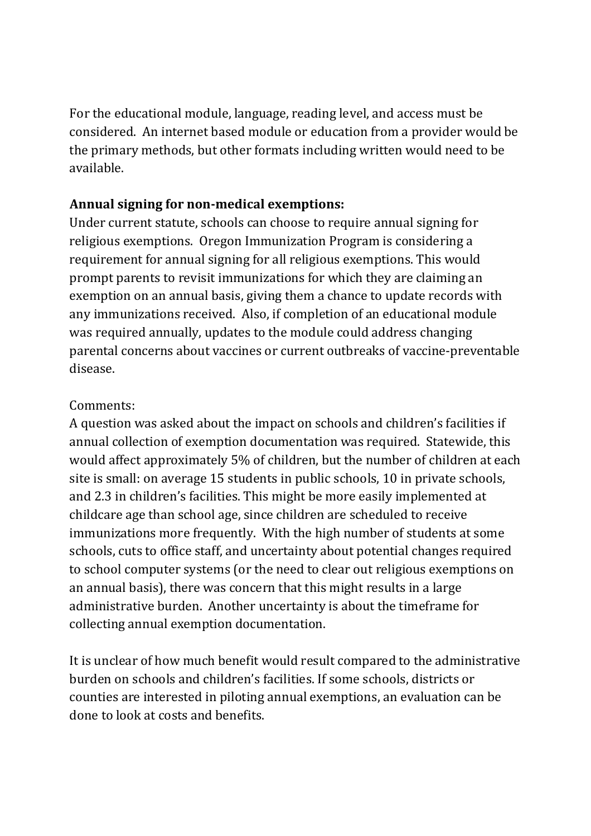For the educational module, language, reading level, and access must be considered. An internet based module or education from a provider would be the primary methods, but other formats including written would need to be available.

# **Annual signing for non-medical exemptions:**

Under current statute, schools can choose to require annual signing for religious exemptions. Oregon Immunization Program is considering a requirement for annual signing for all religious exemptions. This would prompt parents to revisit immunizations for which they are claiming an exemption on an annual basis, giving them a chance to update records with any immunizations received. Also, if completion of an educational module was required annually, updates to the module could address changing parental concerns about vaccines or current outbreaks of vaccine-preventable disease.

## Comments:

A question was asked about the impact on schools and children's facilities if annual collection of exemption documentation was required. Statewide, this would affect approximately 5% of children, but the number of children at each site is small: on average 15 students in public schools, 10 in private schools, and 2.3 in children's facilities. This might be more easily implemented at childcare age than school age, since children are scheduled to receive immunizations more frequently. With the high number of students at some schools, cuts to office staff, and uncertainty about potential changes required to school computer systems (or the need to clear out religious exemptions on an annual basis), there was concern that this might results in a large administrative burden. Another uncertainty is about the timeframe for collecting annual exemption documentation.

It is unclear of how much benefit would result compared to the administrative burden on schools and children's facilities. If some schools, districts or counties are interested in piloting annual exemptions, an evaluation can be done to look at costs and benefits.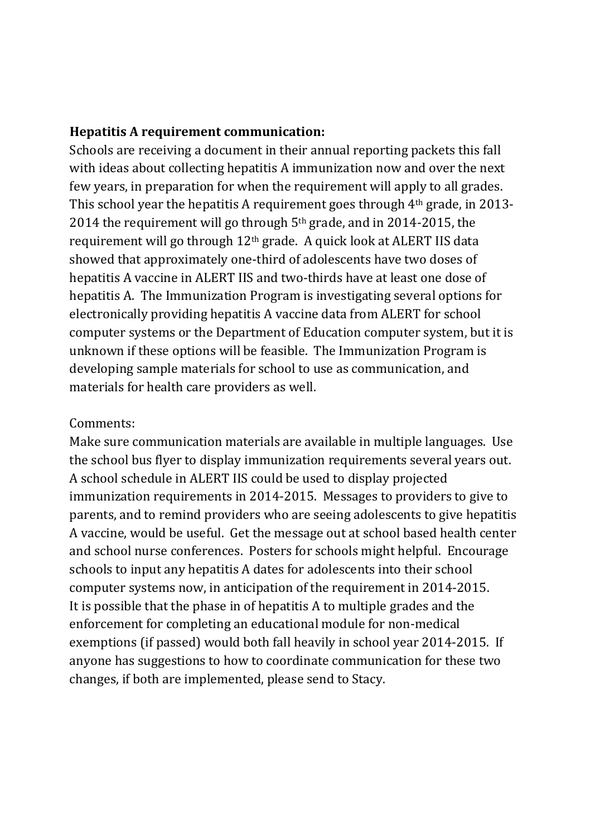#### **Hepatitis A requirement communication:**

Schools are receiving a document in their annual reporting packets this fall with ideas about collecting hepatitis A immunization now and over the next few years, in preparation for when the requirement will apply to all grades. This school year the hepatitis A requirement goes through 4th grade, in 2013- 2014 the requirement will go through 5th grade, and in 2014-2015, the requirement will go through 12th grade. A quick look at ALERT IIS data showed that approximately one-third of adolescents have two doses of hepatitis A vaccine in ALERT IIS and two-thirds have at least one dose of hepatitis A. The Immunization Program is investigating several options for electronically providing hepatitis A vaccine data from ALERT for school computer systems or the Department of Education computer system, but it is unknown if these options will be feasible. The Immunization Program is developing sample materials for school to use as communication, and materials for health care providers as well.

#### Comments:

Make sure communication materials are available in multiple languages. Use the school bus flyer to display immunization requirements several years out. A school schedule in ALERT IIS could be used to display projected immunization requirements in 2014-2015. Messages to providers to give to parents, and to remind providers who are seeing adolescents to give hepatitis A vaccine, would be useful. Get the message out at school based health center and school nurse conferences. Posters for schools might helpful. Encourage schools to input any hepatitis A dates for adolescents into their school computer systems now, in anticipation of the requirement in 2014-2015. It is possible that the phase in of hepatitis A to multiple grades and the enforcement for completing an educational module for non-medical exemptions (if passed) would both fall heavily in school year 2014-2015. If anyone has suggestions to how to coordinate communication for these two changes, if both are implemented, please send to Stacy.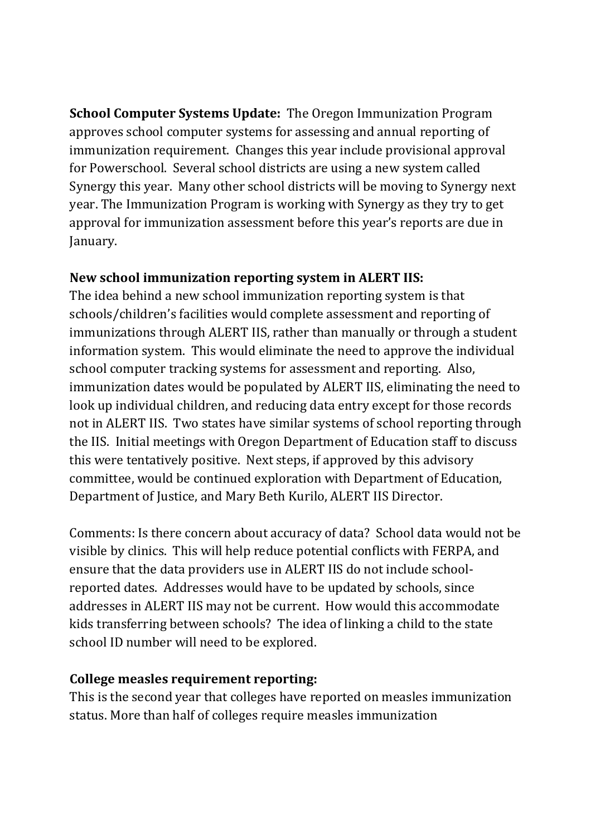**School Computer Systems Update:** The Oregon Immunization Program approves school computer systems for assessing and annual reporting of immunization requirement. Changes this year include provisional approval for Powerschool. Several school districts are using a new system called Synergy this year. Many other school districts will be moving to Synergy next year. The Immunization Program is working with Synergy as they try to get approval for immunization assessment before this year's reports are due in January.

#### **New school immunization reporting system in ALERT IIS:**

The idea behind a new school immunization reporting system is that schools/children's facilities would complete assessment and reporting of immunizations through ALERT IIS, rather than manually or through a student information system. This would eliminate the need to approve the individual school computer tracking systems for assessment and reporting. Also, immunization dates would be populated by ALERT IIS, eliminating the need to look up individual children, and reducing data entry except for those records not in ALERT IIS. Two states have similar systems of school reporting through the IIS. Initial meetings with Oregon Department of Education staff to discuss this were tentatively positive. Next steps, if approved by this advisory committee, would be continued exploration with Department of Education, Department of Justice, and Mary Beth Kurilo, ALERT IIS Director.

Comments: Is there concern about accuracy of data? School data would not be visible by clinics. This will help reduce potential conflicts with FERPA, and ensure that the data providers use in ALERT IIS do not include schoolreported dates. Addresses would have to be updated by schools, since addresses in ALERT IIS may not be current. How would this accommodate kids transferring between schools? The idea of linking a child to the state school ID number will need to be explored.

## **College measles requirement reporting:**

This is the second year that colleges have reported on measles immunization status. More than half of colleges require measles immunization